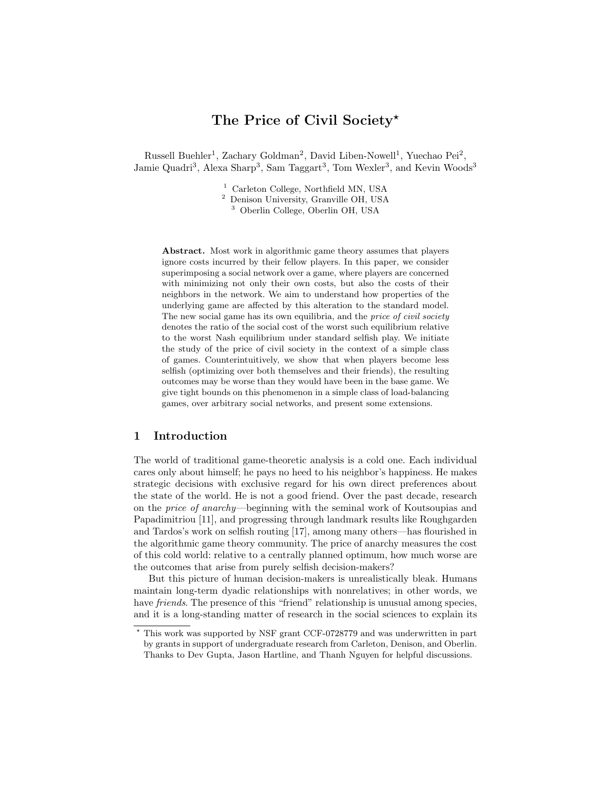# The Price of Civil Society\*

Russell Buehler<sup>1</sup>, Zachary Goldman<sup>2</sup>, David Liben-Nowell<sup>1</sup>, Yuechao Pei<sup>2</sup>, Jamie Quadri<sup>3</sup>, Alexa Sharp<sup>3</sup>, Sam Taggart<sup>3</sup>, Tom Wexler<sup>3</sup>, and Kevin Woods<sup>3</sup>

<sup>1</sup> Carleton College, Northfield MN, USA

<sup>2</sup> Denison University, Granville OH, USA

<sup>3</sup> Oberlin College, Oberlin OH, USA

Abstract. Most work in algorithmic game theory assumes that players ignore costs incurred by their fellow players. In this paper, we consider superimposing a social network over a game, where players are concerned with minimizing not only their own costs, but also the costs of their neighbors in the network. We aim to understand how properties of the underlying game are affected by this alteration to the standard model. The new social game has its own equilibria, and the price of civil society denotes the ratio of the social cost of the worst such equilibrium relative to the worst Nash equilibrium under standard selfish play. We initiate the study of the price of civil society in the context of a simple class of games. Counterintuitively, we show that when players become less selfish (optimizing over both themselves and their friends), the resulting outcomes may be worse than they would have been in the base game. We give tight bounds on this phenomenon in a simple class of load-balancing games, over arbitrary social networks, and present some extensions.

# 1 Introduction

The world of traditional game-theoretic analysis is a cold one. Each individual cares only about himself; he pays no heed to his neighbor's happiness. He makes strategic decisions with exclusive regard for his own direct preferences about the state of the world. He is not a good friend. Over the past decade, research on the price of anarchy—beginning with the seminal work of Koutsoupias and Papadimitriou [11], and progressing through landmark results like Roughgarden and Tardos's work on selfish routing [17], among many others—has flourished in the algorithmic game theory community. The price of anarchy measures the cost of this cold world: relative to a centrally planned optimum, how much worse are the outcomes that arise from purely selfish decision-makers?

But this picture of human decision-makers is unrealistically bleak. Humans maintain long-term dyadic relationships with nonrelatives; in other words, we have *friends*. The presence of this "friend" relationship is unusual among species, and it is a long-standing matter of research in the social sciences to explain its

<sup>?</sup> This work was supported by NSF grant CCF-0728779 and was underwritten in part by grants in support of undergraduate research from Carleton, Denison, and Oberlin. Thanks to Dev Gupta, Jason Hartline, and Thanh Nguyen for helpful discussions.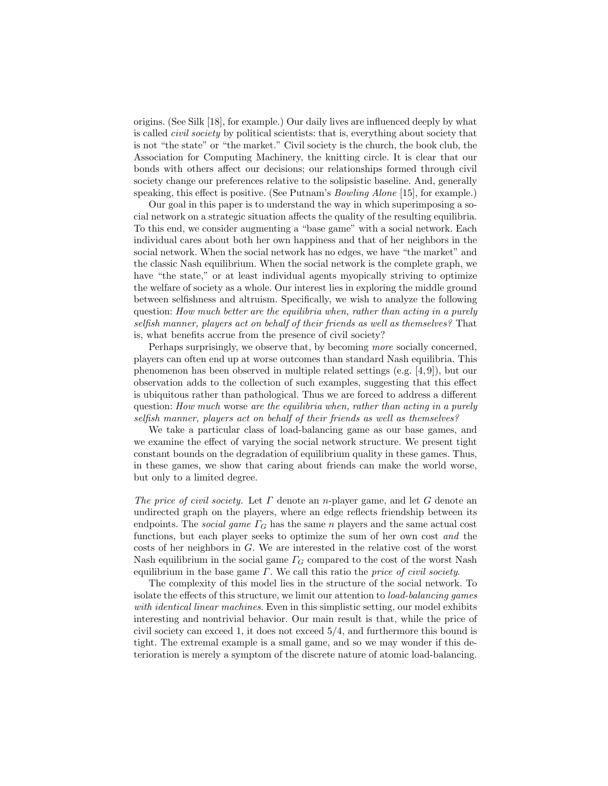origins. (See Silk [18], for example.) Our daily lives are influenced deeply by what is called civil society by political scientists: that is, everything about society that is not "the state" or "the market." Civil society is the church, the book club, the Association for Computing Machinery, the knitting circle. It is clear that our bonds with others affect our decisions; our relationships formed through civil society change our preferences relative to the solipsistic baseline. And, generally speaking, this effect is positive. (See Putnam's Bowling Alone [15], for example.)

Our goal in this paper is to understand the way in which superimposing a social network on a strategic situation affects the quality of the resulting equilibria. To this end, we consider augmenting a "base game" with a social network. Each individual cares about both her own happiness and that of her neighbors in the social network. When the social network has no edges, we have "the market" and the classic Nash equilibrium. When the social network is the complete graph, we have "the state," or at least individual agents myopically striving to optimize the welfare of society as a whole. Our interest lies in exploring the middle ground between selfishness and altruism. Specifically, we wish to analyze the following question: How much better are the equilibria when, rather than acting in a purely selfish manner, players act on behalf of their friends as well as themselves? That is, what benefits accrue from the presence of civil society?

Perhaps surprisingly, we observe that, by becoming more socially concerned, players can often end up at worse outcomes than standard Nash equilibria. This phenomenon has been observed in multiple related settings (e.g. [4, 9]), but our observation adds to the collection of such examples, suggesting that this effect is ubiquitous rather than pathological. Thus we are forced to address a different question: How much worse are the equilibria when, rather than acting in a purely selfish manner, players act on behalf of their friends as well as themselves?

We take a particular class of load-balancing game as our base games, and we examine the effect of varying the social network structure. We present tight constant bounds on the degradation of equilibrium quality in these games. Thus, in these games, we show that caring about friends can make the world worse, but only to a limited degree.

The price of civil society. Let  $\Gamma$  denote an n-player game, and let G denote an undirected graph on the players, where an edge reflects friendship between its endpoints. The *social game*  $\Gamma_G$  has the same *n* players and the same actual cost functions, but each player seeks to optimize the sum of her own cost and the costs of her neighbors in G. We are interested in the relative cost of the worst Nash equilibrium in the social game  $\Gamma$ <sub>G</sub> compared to the cost of the worst Nash equilibrium in the base game  $\Gamma$ . We call this ratio the *price of civil society*.

The complexity of this model lies in the structure of the social network. To isolate the effects of this structure, we limit our attention to load-balancing games with identical linear machines. Even in this simplistic setting, our model exhibits interesting and nontrivial behavior. Our main result is that, while the price of civil society can exceed 1, it does not exceed 5/4, and furthermore this bound is tight. The extremal example is a small game, and so we may wonder if this deterioration is merely a symptom of the discrete nature of atomic load-balancing.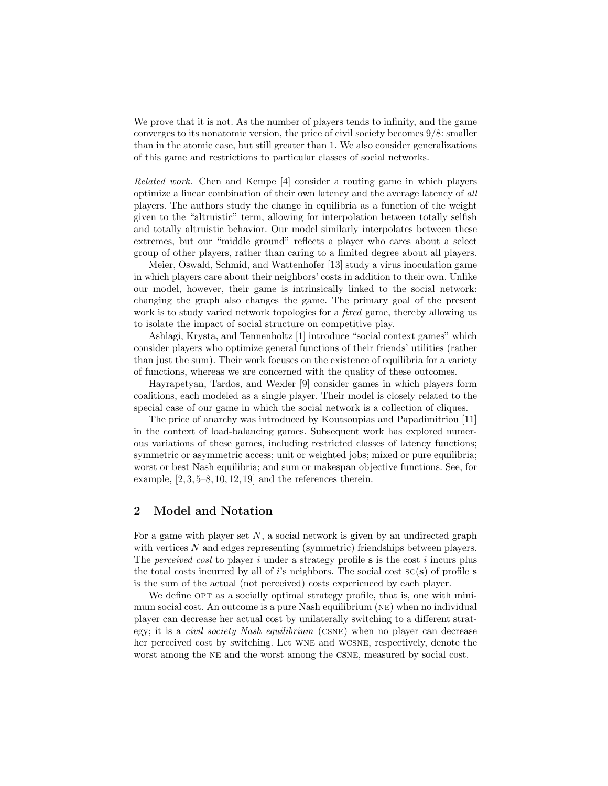We prove that it is not. As the number of players tends to infinity, and the game converges to its nonatomic version, the price of civil society becomes 9/8: smaller than in the atomic case, but still greater than 1. We also consider generalizations of this game and restrictions to particular classes of social networks.

Related work. Chen and Kempe [4] consider a routing game in which players optimize a linear combination of their own latency and the average latency of all players. The authors study the change in equilibria as a function of the weight given to the "altruistic" term, allowing for interpolation between totally selfish and totally altruistic behavior. Our model similarly interpolates between these extremes, but our "middle ground" reflects a player who cares about a select group of other players, rather than caring to a limited degree about all players.

Meier, Oswald, Schmid, and Wattenhofer [13] study a virus inoculation game in which players care about their neighbors' costs in addition to their own. Unlike our model, however, their game is intrinsically linked to the social network: changing the graph also changes the game. The primary goal of the present work is to study varied network topologies for a *fixed* game, thereby allowing us to isolate the impact of social structure on competitive play.

Ashlagi, Krysta, and Tennenholtz [1] introduce "social context games" which consider players who optimize general functions of their friends' utilities (rather than just the sum). Their work focuses on the existence of equilibria for a variety of functions, whereas we are concerned with the quality of these outcomes.

Hayrapetyan, Tardos, and Wexler [9] consider games in which players form coalitions, each modeled as a single player. Their model is closely related to the special case of our game in which the social network is a collection of cliques.

The price of anarchy was introduced by Koutsoupias and Papadimitriou [11] in the context of load-balancing games. Subsequent work has explored numerous variations of these games, including restricted classes of latency functions; symmetric or asymmetric access; unit or weighted jobs; mixed or pure equilibria; worst or best Nash equilibria; and sum or makespan objective functions. See, for example,  $[2, 3, 5-8, 10, 12, 19]$  and the references therein.

# 2 Model and Notation

For a game with player set  $N$ , a social network is given by an undirected graph with vertices N and edges representing (symmetric) friendships between players. The *perceived cost* to player  $i$  under a strategy profile  $s$  is the cost  $i$  incurs plus the total costs incurred by all of i's neighbors. The social cost  $\mathcal{SC}(\mathbf{s})$  of profile s is the sum of the actual (not perceived) costs experienced by each player.

We define OPT as a socially optimal strategy profile, that is, one with minimum social cost. An outcome is a pure Nash equilibrium (ne) when no individual player can decrease her actual cost by unilaterally switching to a different strategy; it is a civil society Nash equilibrium (csne) when no player can decrease her perceived cost by switching. Let wne and wcsne, respectively, denote the worst among the NE and the worst among the CSNE, measured by social cost.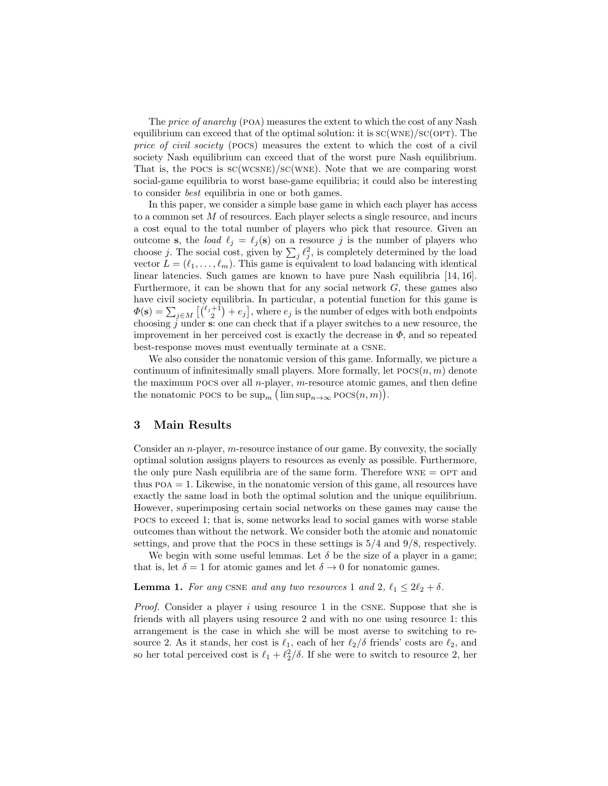The price of anarchy (poa) measures the extent to which the cost of any Nash equilibrium can exceed that of the optimal solution: it is  $SC(WNE)/SC(OPT)$ . The price of civil society (pocs) measures the extent to which the cost of a civil society Nash equilibrium can exceed that of the worst pure Nash equilibrium. That is, the pocs is sc(wcsne)/sc(wne). Note that we are comparing worst social-game equilibria to worst base-game equilibria; it could also be interesting to consider best equilibria in one or both games.

In this paper, we consider a simple base game in which each player has access to a common set M of resources. Each player selects a single resource, and incurs a cost equal to the total number of players who pick that resource. Given an outcome s, the *load*  $\ell_j = \ell_j (s)$  on a resource j is the number of players who choose j. The social cost, given by  $\sum_j \ell_j^2$ , is completely determined by the load vector  $L = (\ell_1, \ldots, \ell_m)$ . This game is equivalent to load balancing with identical linear latencies. Such games are known to have pure Nash equilibria [14, 16]. Furthermore, it can be shown that for any social network  $G$ , these games also have civil society equilibria. In particular, a potential function for this game is  $\Phi(\mathbf{s}) = \sum_{j \in M} \left[ \binom{\ell_j+1}{2} + e_j \right]$ , where  $e_j$  is the number of edges with both endpoints choosing  $\tilde{j}$  under s: one can check that if a player switches to a new resource, the improvement in her perceived cost is exactly the decrease in  $\Phi$ , and so repeated best-response moves must eventually terminate at a csne.

We also consider the nonatomic version of this game. Informally, we picture a continuum of infinitesimally small players. More formally, let  $POCs(n, m)$  denote the maximum pocs over all *n*-player, *m*-resource atomic games, and then define the nonatomic POCS to be  $\sup_m (\limsup_{n\to\infty} \text{POCs}(n,m))$ .

## 3 Main Results

Consider an  $n$ -player,  $m$ -resource instance of our game. By convexity, the socially optimal solution assigns players to resources as evenly as possible. Furthermore, the only pure Nash equilibria are of the same form. Therefore  $WNE = OPT$  and thus poa = 1. Likewise, in the nonatomic version of this game, all resources have exactly the same load in both the optimal solution and the unique equilibrium. However, superimposing certain social networks on these games may cause the pocs to exceed 1; that is, some networks lead to social games with worse stable outcomes than without the network. We consider both the atomic and nonatomic settings, and prove that the pocs in these settings is 5/4 and 9/8, respectively.

We begin with some useful lemmas. Let  $\delta$  be the size of a player in a game; that is, let  $\delta = 1$  for atomic games and let  $\delta \to 0$  for nonatomic games.

#### **Lemma 1.** For any CSNE and any two resources 1 and 2,  $\ell_1 \leq 2\ell_2 + \delta$ .

*Proof.* Consider a player i using resource 1 in the CSNE. Suppose that she is friends with all players using resource 2 and with no one using resource 1: this arrangement is the case in which she will be most averse to switching to resource 2. As it stands, her cost is  $\ell_1$ , each of her  $\ell_2/\delta$  friends' costs are  $\ell_2$ , and so her total perceived cost is  $\ell_1 + \ell_2^2/\delta$ . If she were to switch to resource 2, her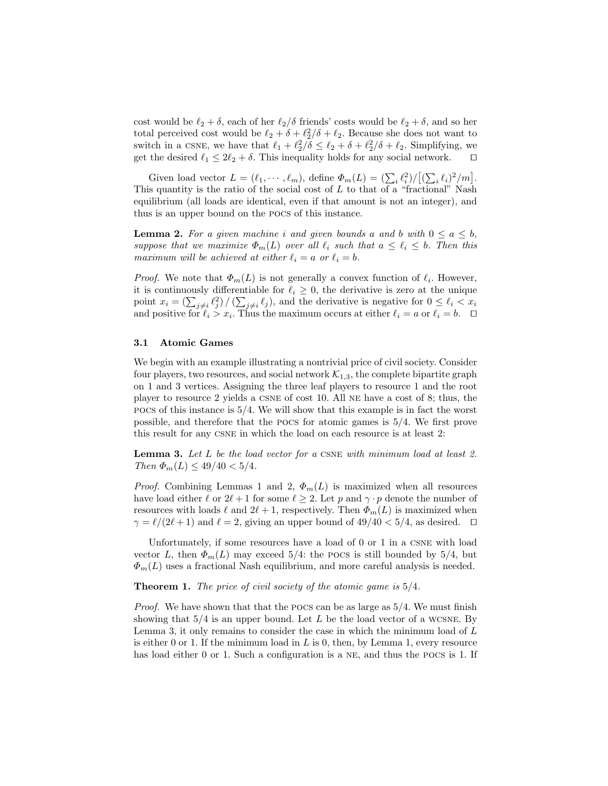cost would be  $\ell_2 + \delta$ , each of her  $\ell_2/\delta$  friends' costs would be  $\ell_2 + \delta$ , and so her total perceived cost would be  $\ell_2 + \delta + \ell_2^2/\delta + \ell_2$ . Because she does not want to switch in a CSNE, we have that  $\ell_1 + \ell_2^2/\delta \leq \ell_2 + \delta + \ell_2^2/\delta + \ell_2$ . Simplifying, we get the desired  $\ell_1 \leq 2\ell_2 + \delta$ . This inequality holds for any social network.  $\Box$ 

Given load vector  $L = (\ell_1, \dots, \ell_m)$ , define  $\Phi_m(L) = (\sum_i \ell_i^2) / [(\sum_i \ell_i)^2 / m]$ . This quantity is the ratio of the social cost of  $L$  to that of a "fractional" Nash equilibrium (all loads are identical, even if that amount is not an integer), and thus is an upper bound on the pocs of this instance.

**Lemma 2.** For a given machine i and given bounds a and b with  $0 \le a \le b$ , suppose that we maximize  $\Phi_m(L)$  over all  $\ell_i$  such that  $a \leq \ell_i \leq b$ . Then this maximum will be achieved at either  $\ell_i = a$  or  $\ell_i = b$ .

*Proof.* We note that  $\Phi_m(L)$  is not generally a convex function of  $\ell_i$ . However, it is continuously differentiable for  $\ell_i \geq 0$ , the derivative is zero at the unique point  $x_i = (\sum_{j\neq i} \ell_j^2) / (\sum_{j\neq i} \ell_j)$ , and the derivative is negative for  $0 \leq \ell_i < x_i$ and positive for  $\ell_i > x_i$ . Thus the maximum occurs at either  $\ell_i = a$  or  $\ell_i = b$ .  $\Box$ 

#### 3.1 Atomic Games

We begin with an example illustrating a nontrivial price of civil society. Consider four players, two resources, and social network  $K_{1,3}$ , the complete bipartite graph on 1 and 3 vertices. Assigning the three leaf players to resource 1 and the root player to resource 2 yields a csne of cost 10. All ne have a cost of 8; thus, the pocs of this instance is 5/4. We will show that this example is in fact the worst possible, and therefore that the pocs for atomic games is 5/4. We first prove this result for any csne in which the load on each resource is at least 2:

**Lemma 3.** Let  $L$  be the load vector for a CSNE with minimum load at least  $2$ . Then  $\Phi_m(L) \leq 49/40 < 5/4$ .

*Proof.* Combining Lemmas 1 and 2,  $\Phi_m(L)$  is maximized when all resources have load either  $\ell$  or  $2\ell + 1$  for some  $\ell \geq 2$ . Let p and  $\gamma \cdot p$  denote the number of resources with loads  $\ell$  and  $2\ell + 1$ , respectively. Then  $\Phi_m(L)$  is maximized when  $\gamma = \ell/(2\ell + 1)$  and  $\ell = 2$ , giving an upper bound of  $49/40 < 5/4$ , as desired.  $\Box$ 

Unfortunately, if some resources have a load of 0 or 1 in a csne with load vector L, then  $\Phi_m(L)$  may exceed 5/4: the pocs is still bounded by 5/4, but  $\Phi_m(L)$  uses a fractional Nash equilibrium, and more careful analysis is needed.

#### **Theorem 1.** The price of civil society of the atomic game is  $5/4$ .

*Proof.* We have shown that that the pocs can be as large as  $5/4$ . We must finish showing that  $5/4$  is an upper bound. Let  $L$  be the load vector of a WCSNE. By Lemma 3, it only remains to consider the case in which the minimum load of  $L$ is either 0 or 1. If the minimum load in  $L$  is 0, then, by Lemma 1, every resource has load either 0 or 1. Such a configuration is a NE, and thus the POCS is 1. If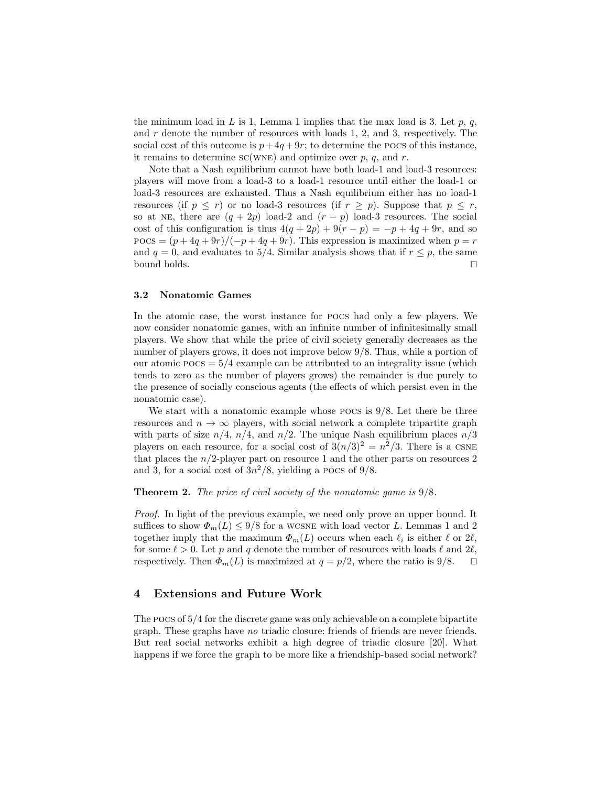the minimum load in L is 1, Lemma 1 implies that the max load is 3. Let  $p, q$ , and  $r$  denote the number of resources with loads 1, 2, and 3, respectively. The social cost of this outcome is  $p + 4q + 9r$ ; to determine the pocs of this instance, it remains to determine  $SC(WNE)$  and optimize over p, q, and r.

Note that a Nash equilibrium cannot have both load-1 and load-3 resources: players will move from a load-3 to a load-1 resource until either the load-1 or load-3 resources are exhausted. Thus a Nash equilibrium either has no load-1 resources (if  $p \leq r$ ) or no load-3 resources (if  $r \geq p$ ). Suppose that  $p \leq r$ , so at NE, there are  $(q + 2p)$  load-2 and  $(r - p)$  load-3 resources. The social cost of this configuration is thus  $4(q + 2p) + 9(r - p) = -p + 4q + 9r$ , and so  $\text{POCS} = (p + 4q + 9r)/(-p + 4q + 9r)$ . This expression is maximized when  $p = r$ and  $q = 0$ , and evaluates to 5/4. Similar analysis shows that if  $r \leq p$ , the same bound holds.  $\Box$ 

#### 3.2 Nonatomic Games

In the atomic case, the worst instance for pocs had only a few players. We now consider nonatomic games, with an infinite number of infinitesimally small players. We show that while the price of civil society generally decreases as the number of players grows, it does not improve below  $9/8$ . Thus, while a portion of our atomic  $POCS = 5/4$  example can be attributed to an integrality issue (which tends to zero as the number of players grows) the remainder is due purely to the presence of socially conscious agents (the effects of which persist even in the nonatomic case).

We start with a nonatomic example whose pocs is 9/8. Let there be three resources and  $n \to \infty$  players, with social network a complete tripartite graph with parts of size  $n/4$ ,  $n/4$ , and  $n/2$ . The unique Nash equilibrium places  $n/3$ players on each resource, for a social cost of  $3(n/3)^2 = n^2/3$ . There is a CSNE that places the  $n/2$ -player part on resource 1 and the other parts on resources 2 and 3, for a social cost of  $3n^2/8$ , yielding a POCS of 9/8.

#### **Theorem 2.** The price of civil society of the nonatomic game is  $9/8$ .

Proof. In light of the previous example, we need only prove an upper bound. It suffices to show  $\Phi_m(L) \leq 9/8$  for a WCSNE with load vector L. Lemmas 1 and 2 together imply that the maximum  $\Phi_m(L)$  occurs when each  $\ell_i$  is either  $\ell$  or  $2\ell$ , for some  $\ell > 0$ . Let p and q denote the number of resources with loads  $\ell$  and  $2\ell$ , respectively. Then  $\Phi_m(L)$  is maximized at  $q = p/2$ , where the ratio is 9/8.  $\Box$ 

### 4 Extensions and Future Work

The pocs of 5/4 for the discrete game was only achievable on a complete bipartite graph. These graphs have no triadic closure: friends of friends are never friends. But real social networks exhibit a high degree of triadic closure [20]. What happens if we force the graph to be more like a friendship-based social network?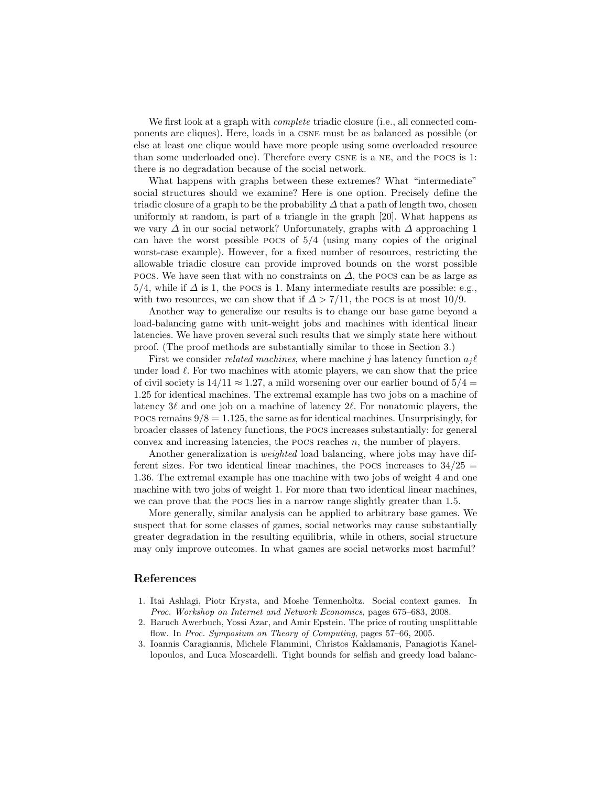We first look at a graph with *complete* triadic closure (i.e., all connected components are cliques). Here, loads in a csne must be as balanced as possible (or else at least one clique would have more people using some overloaded resource than some underloaded one). Therefore every csne is a ne, and the pocs is 1: there is no degradation because of the social network.

What happens with graphs between these extremes? What "intermediate" social structures should we examine? Here is one option. Precisely define the triadic closure of a graph to be the probability  $\Delta$  that a path of length two, chosen uniformly at random, is part of a triangle in the graph [20]. What happens as we vary  $\Delta$  in our social network? Unfortunately, graphs with  $\Delta$  approaching 1 can have the worst possible pocs of 5/4 (using many copies of the original worst-case example). However, for a fixed number of resources, restricting the allowable triadic closure can provide improved bounds on the worst possible pocs. We have seen that with no constraints on  $\Delta$ , the pocs can be as large as 5/4, while if  $\Delta$  is 1, the pocs is 1. Many intermediate results are possible: e.g., with two resources, we can show that if  $\Delta > 7/11$ , the POCS is at most 10/9.

Another way to generalize our results is to change our base game beyond a load-balancing game with unit-weight jobs and machines with identical linear latencies. We have proven several such results that we simply state here without proof. (The proof methods are substantially similar to those in Section 3.)

First we consider *related machines*, where machine j has latency function  $a_i \ell$ under load  $\ell$ . For two machines with atomic players, we can show that the price of civil society is  $14/11 \approx 1.27$ , a mild worsening over our earlier bound of  $5/4 =$ 1.25 for identical machines. The extremal example has two jobs on a machine of latency  $3\ell$  and one job on a machine of latency  $2\ell$ . For nonatomic players, the pocs remains  $9/8 = 1.125$ , the same as for identical machines. Unsurprisingly, for broader classes of latency functions, the pocs increases substantially: for general convex and increasing latencies, the pocs reaches  $n$ , the number of players.

Another generalization is weighted load balancing, where jobs may have different sizes. For two identical linear machines, the pocs increases to  $34/25$  = 1.36. The extremal example has one machine with two jobs of weight 4 and one machine with two jobs of weight 1. For more than two identical linear machines, we can prove that the pocs lies in a narrow range slightly greater than 1.5.

More generally, similar analysis can be applied to arbitrary base games. We suspect that for some classes of games, social networks may cause substantially greater degradation in the resulting equilibria, while in others, social structure may only improve outcomes. In what games are social networks most harmful?

## References

- 1. Itai Ashlagi, Piotr Krysta, and Moshe Tennenholtz. Social context games. In Proc. Workshop on Internet and Network Economics, pages 675–683, 2008.
- 2. Baruch Awerbuch, Yossi Azar, and Amir Epstein. The price of routing unsplittable flow. In Proc. Symposium on Theory of Computing, pages 57–66, 2005.
- 3. Ioannis Caragiannis, Michele Flammini, Christos Kaklamanis, Panagiotis Kanellopoulos, and Luca Moscardelli. Tight bounds for selfish and greedy load balanc-